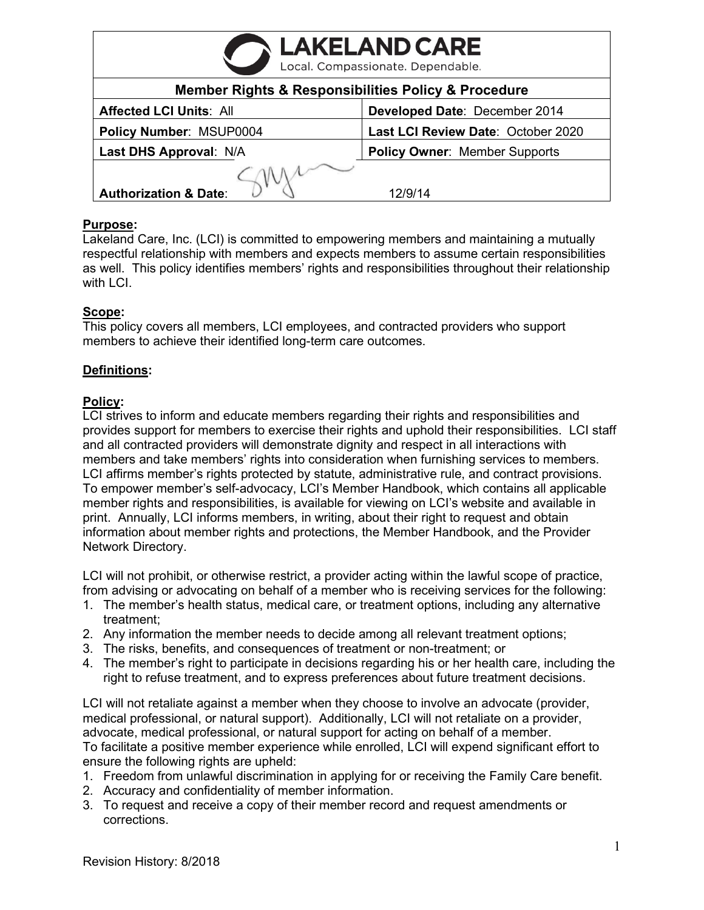| <b>LAKELAND CARE</b>                                               |                                      |
|--------------------------------------------------------------------|--------------------------------------|
| <b>Member Rights &amp; Responsibilities Policy &amp; Procedure</b> |                                      |
| <b>Affected LCI Units: All</b>                                     | Developed Date: December 2014        |
| Policy Number: MSUP0004                                            | Last LCI Review Date: October 2020   |
| Last DHS Approval: N/A                                             | <b>Policy Owner: Member Supports</b> |
| <b>Authorization &amp; Date:</b>                                   | 12/9/14                              |

# **Purpose:**

Lakeland Care, Inc. (LCI) is committed to empowering members and maintaining a mutually respectful relationship with members and expects members to assume certain responsibilities as well. This policy identifies members' rights and responsibilities throughout their relationship with LCI.

# **Scope:**

This policy covers all members, LCI employees, and contracted providers who support members to achieve their identified long-term care outcomes.

# **Definitions:**

# **Policy:**

LCI strives to inform and educate members regarding their rights and responsibilities and provides support for members to exercise their rights and uphold their responsibilities. LCI staff and all contracted providers will demonstrate dignity and respect in all interactions with members and take members' rights into consideration when furnishing services to members. LCI affirms member's rights protected by statute, administrative rule, and contract provisions. To empower member's self-advocacy, LCI's Member Handbook, which contains all applicable member rights and responsibilities, is available for viewing on LCI's website and available in print. Annually, LCI informs members, in writing, about their right to request and obtain information about member rights and protections, the Member Handbook, and the Provider Network Directory.

LCI will not prohibit, or otherwise restrict, a provider acting within the lawful scope of practice, from advising or advocating on behalf of a member who is receiving services for the following:

- 1. The member's health status, medical care, or treatment options, including any alternative treatment;
- 2. Any information the member needs to decide among all relevant treatment options;
- 3. The risks, benefits, and consequences of treatment or non-treatment; or
- 4. The member's right to participate in decisions regarding his or her health care, including the right to refuse treatment, and to express preferences about future treatment decisions.

LCI will not retaliate against a member when they choose to involve an advocate (provider, medical professional, or natural support). Additionally, LCI will not retaliate on a provider, advocate, medical professional, or natural support for acting on behalf of a member. To facilitate a positive member experience while enrolled, LCI will expend significant effort to ensure the following rights are upheld:

- 1. Freedom from unlawful discrimination in applying for or receiving the Family Care benefit.
- 2. Accuracy and confidentiality of member information.
- 3. To request and receive a copy of their member record and request amendments or corrections.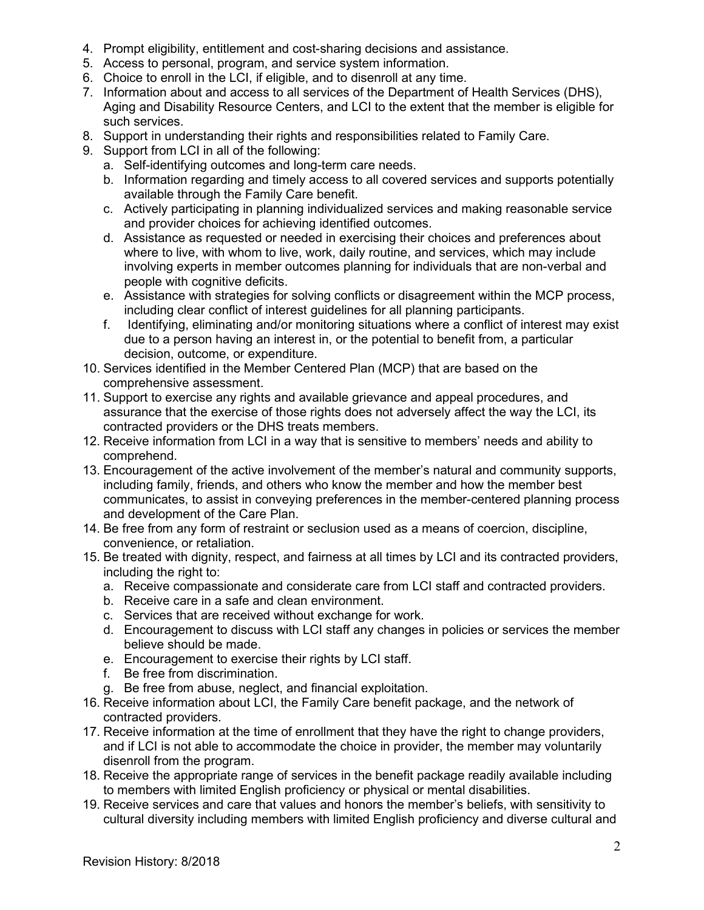- 4. Prompt eligibility, entitlement and cost-sharing decisions and assistance.
- 5. Access to personal, program, and service system information.
- 6. Choice to enroll in the LCI, if eligible, and to disenroll at any time.
- 7. Information about and access to all services of the Department of Health Services (DHS), Aging and Disability Resource Centers, and LCI to the extent that the member is eligible for such services.
- 8. Support in understanding their rights and responsibilities related to Family Care.
- 9. Support from LCI in all of the following:
	- a. Self-identifying outcomes and long-term care needs.
	- b. Information regarding and timely access to all covered services and supports potentially available through the Family Care benefit.
	- c. Actively participating in planning individualized services and making reasonable service and provider choices for achieving identified outcomes.
	- d. Assistance as requested or needed in exercising their choices and preferences about where to live, with whom to live, work, daily routine, and services, which may include involving experts in member outcomes planning for individuals that are non-verbal and people with cognitive deficits.
	- e. Assistance with strategies for solving conflicts or disagreement within the MCP process, including clear conflict of interest guidelines for all planning participants.
	- f. Identifying, eliminating and/or monitoring situations where a conflict of interest may exist due to a person having an interest in, or the potential to benefit from, a particular decision, outcome, or expenditure.
- 10. Services identified in the Member Centered Plan (MCP) that are based on the comprehensive assessment.
- 11. Support to exercise any rights and available grievance and appeal procedures, and assurance that the exercise of those rights does not adversely affect the way the LCI, its contracted providers or the DHS treats members.
- 12. Receive information from LCI in a way that is sensitive to members' needs and ability to comprehend.
- 13. Encouragement of the active involvement of the member's natural and community supports, including family, friends, and others who know the member and how the member best communicates, to assist in conveying preferences in the member-centered planning process and development of the Care Plan.
- 14. Be free from any form of restraint or seclusion used as a means of coercion, discipline, convenience, or retaliation.
- 15. Be treated with dignity, respect, and fairness at all times by LCI and its contracted providers, including the right to:
	- a. Receive compassionate and considerate care from LCI staff and contracted providers.
	- b. Receive care in a safe and clean environment.
	- c. Services that are received without exchange for work.
	- d. Encouragement to discuss with LCI staff any changes in policies or services the member believe should be made.
	- e. Encouragement to exercise their rights by LCI staff.
	- f. Be free from discrimination.
	- g. Be free from abuse, neglect, and financial exploitation.
- 16. Receive information about LCI, the Family Care benefit package, and the network of contracted providers.
- 17. Receive information at the time of enrollment that they have the right to change providers, and if LCI is not able to accommodate the choice in provider, the member may voluntarily disenroll from the program.
- 18. Receive the appropriate range of services in the benefit package readily available including to members with limited English proficiency or physical or mental disabilities.
- 19. Receive services and care that values and honors the member's beliefs, with sensitivity to cultural diversity including members with limited English proficiency and diverse cultural and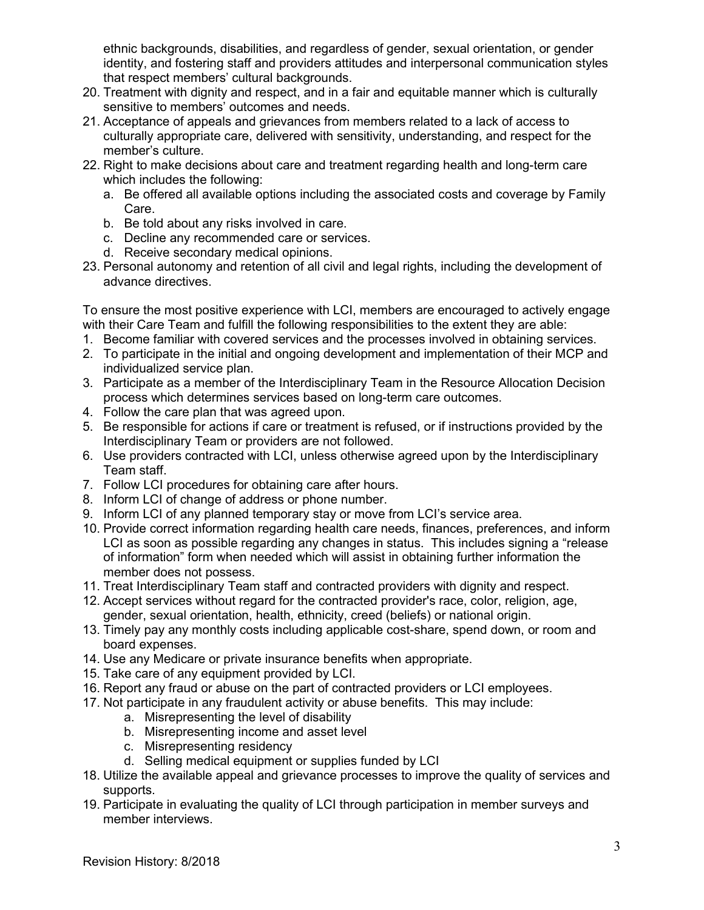ethnic backgrounds, disabilities, and regardless of gender, sexual orientation, or gender identity, and fostering staff and providers attitudes and interpersonal communication styles that respect members' cultural backgrounds.

- 20. Treatment with dignity and respect, and in a fair and equitable manner which is culturally sensitive to members' outcomes and needs.
- 21. Acceptance of appeals and grievances from members related to a lack of access to culturally appropriate care, delivered with sensitivity, understanding, and respect for the member's culture.
- 22. Right to make decisions about care and treatment regarding health and long-term care which includes the following:
	- a. Be offered all available options including the associated costs and coverage by Family Care.
	- b. Be told about any risks involved in care.
	- c. Decline any recommended care or services.
	- d. Receive secondary medical opinions.
- 23. Personal autonomy and retention of all civil and legal rights, including the development of advance directives.

To ensure the most positive experience with LCI, members are encouraged to actively engage with their Care Team and fulfill the following responsibilities to the extent they are able:

- 1. Become familiar with covered services and the processes involved in obtaining services.
- 2. To participate in the initial and ongoing development and implementation of their MCP and individualized service plan.
- 3. Participate as a member of the Interdisciplinary Team in the Resource Allocation Decision process which determines services based on long-term care outcomes.
- 4. Follow the care plan that was agreed upon.
- 5. Be responsible for actions if care or treatment is refused, or if instructions provided by the Interdisciplinary Team or providers are not followed.
- 6. Use providers contracted with LCI, unless otherwise agreed upon by the Interdisciplinary Team staff.
- 7. Follow LCI procedures for obtaining care after hours.
- 8. Inform LCI of change of address or phone number.
- 9. Inform LCI of any planned temporary stay or move from LCI's service area.
- 10. Provide correct information regarding health care needs, finances, preferences, and inform LCI as soon as possible regarding any changes in status. This includes signing a "release of information" form when needed which will assist in obtaining further information the member does not possess.
- 11. Treat Interdisciplinary Team staff and contracted providers with dignity and respect.
- 12. Accept services without regard for the contracted provider's race, color, religion, age, gender, sexual orientation, health, ethnicity, creed (beliefs) or national origin.
- 13. Timely pay any monthly costs including applicable cost-share, spend down, or room and board expenses.
- 14. Use any Medicare or private insurance benefits when appropriate.
- 15. Take care of any equipment provided by LCI.
- 16. Report any fraud or abuse on the part of contracted providers or LCI employees.
- 17. Not participate in any fraudulent activity or abuse benefits. This may include:
	- a. Misrepresenting the level of disability
	- b. Misrepresenting income and asset level
	- c. Misrepresenting residency
	- d. Selling medical equipment or supplies funded by LCI
- 18. Utilize the available appeal and grievance processes to improve the quality of services and supports.
- 19. Participate in evaluating the quality of LCI through participation in member surveys and member interviews.